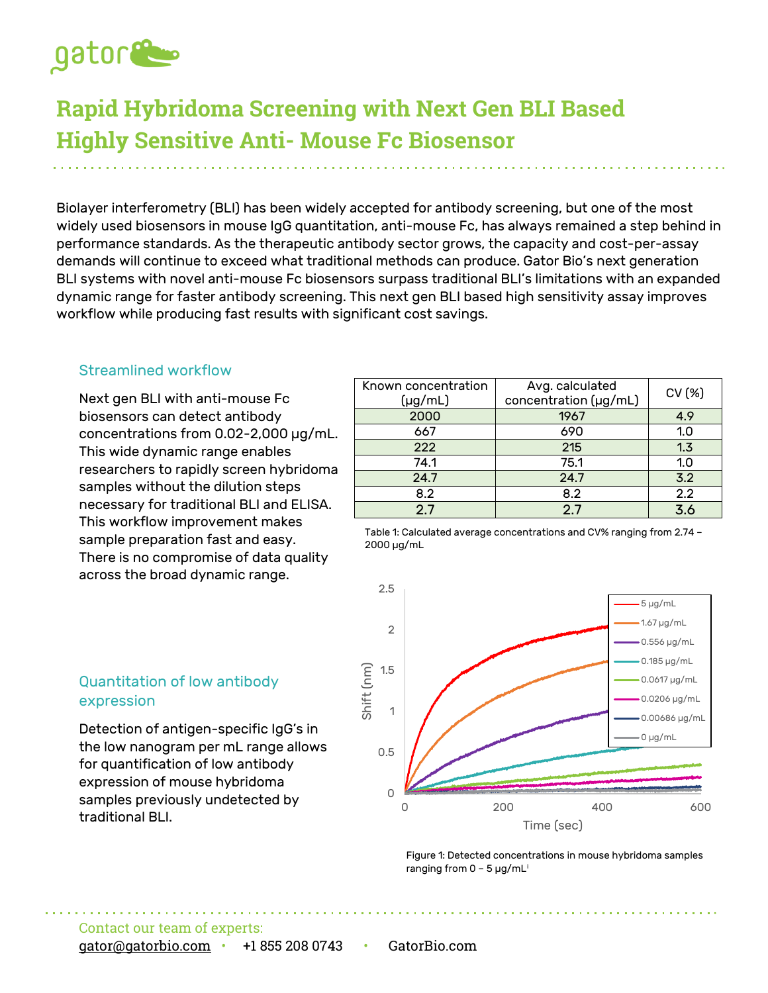

# **Rapid Hybridoma Screening with Next Gen BLI Based Highly Sensitive Anti- Mouse Fc Biosensor**

Biolayer interferometry (BLI) has been widely accepted for antibody screening, but one of the most widely used biosensors in mouse IgG quantitation, anti-mouse Fc, has always remained a step behind in performance standards. As the therapeutic antibody sector grows, the capacity and cost-per-assay demands will continue to exceed what traditional methods can produce. Gator Bio's next generation BLI systems with novel anti-mouse Fc biosensors surpass traditional BLI's limitations with an expanded dynamic range for faster antibody screening. This next gen BLI based high sensitivity assay improves workflow while producing fast results with significant cost savings.

#### Streamlined workflow

Next gen BLI with anti-mouse Fc biosensors can detect antibody concentrations from 0.02-2,000 µg/mL. This wide dynamic range enables researchers to rapidly screen hybridoma samples without the dilution steps necessary for traditional BLI and ELISA. This workflow improvement makes sample preparation fast and easy. There is no compromise of data quality across the broad dynamic range.

| Known concentration<br>(µg/mL) | Avg. calculated<br>concentration (µg/mL) | CV (%) |
|--------------------------------|------------------------------------------|--------|
| 2000                           | 1967                                     | 4.9    |
| 667                            | 690                                      | 1.0    |
| 222                            | 215                                      | 1.3    |
| 74.1                           | 75.1                                     | 1.0    |
| 24.7                           | 24.7                                     | 3.2    |
| 8.2                            | 8.2                                      | 2.2    |
| 2.7                            | 2.7                                      | 3.6    |

Table 1: Calculated average concentrations and CV% ranging from 2.74 – 2000 µg/mL



#### Figure 1: Detected concentrations in mouse hybridoma samples ranging from 0 – 5 µg/mL[i](#page-1-0)

#### Quantitation of low antibody expression

Detection of antigen-specific IgG's in the low nanogram per mL range allows for quantification of low antibody expression of mouse hybridoma samples previously undetected by traditional BLI.